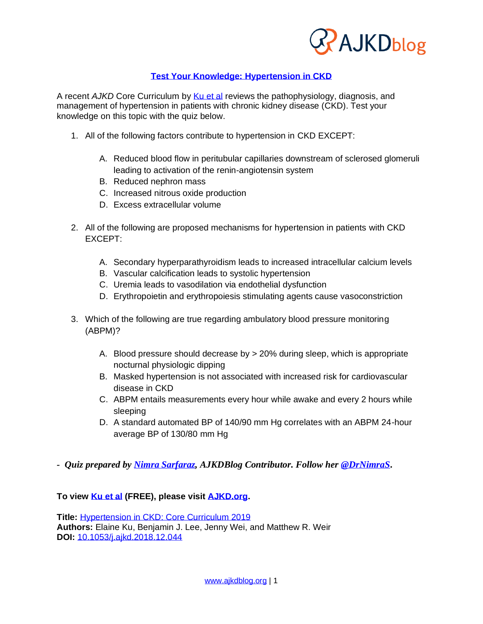

## **[Test Your Knowledge: Hypertension in CKD](https://wp.me/p1IgOp-5AQ)**

A recent *AJKD* Core Curriculum by [Ku et al](https://www.ajkd.org/article/S0272-6386(19)30094-0/fulltext) reviews the pathophysiology, diagnosis, and management of hypertension in patients with chronic kidney disease (CKD). Test your knowledge on this topic with the quiz below.

- 1. All of the following factors contribute to hypertension in CKD EXCEPT:
	- A. Reduced blood flow in peritubular capillaries downstream of sclerosed glomeruli leading to activation of the renin-angiotensin system
	- B. Reduced nephron mass
	- C. Increased nitrous oxide production
	- D. Excess extracellular volume
- 2. All of the following are proposed mechanisms for hypertension in patients with CKD EXCEPT:
	- A. Secondary hyperparathyroidism leads to increased intracellular calcium levels
	- B. Vascular calcification leads to systolic hypertension
	- C. Uremia leads to vasodilation via endothelial dysfunction
	- D. Erythropoietin and erythropoiesis stimulating agents cause vasoconstriction
- 3. Which of the following are true regarding ambulatory blood pressure monitoring (ABPM)?
	- A. Blood pressure should decrease by > 20% during sleep, which is appropriate nocturnal physiologic dipping
	- B. Masked hypertension is not associated with increased risk for cardiovascular disease in CKD
	- C. ABPM entails measurements every hour while awake and every 2 hours while sleeping
	- D. A standard automated BP of 140/90 mm Hg correlates with an ABPM 24-hour average BP of 130/80 mm Hg
- *- Quiz prepared by [Nimra Sarfaraz,](https://ajkdblog.org/meet-the-team/nimra-sarfaraz/) AJKDBlog Contributor. Follow her [@DrNimraS](https://twitter.com/DrNimraS)***.**

#### **To view [Ku et al](https://www.ajkd.org/article/S0272-6386(19)30094-0/fulltext) (FREE), please visit [AJKD.org.](http://www.ajkd.org/)**

**Title:** [Hypertension in CKD: Core Curriculum 2019](https://www.ajkd.org/article/S0272-6386(19)30094-0/fulltext) **Authors:** Elaine Ku, Benjamin J. Lee, Jenny Wei, and Matthew R. Weir **DOI:** [10.1053/j.ajkd.2018.12.044](https://doi.org/10.1053/j.ajkd.2018.12.044)